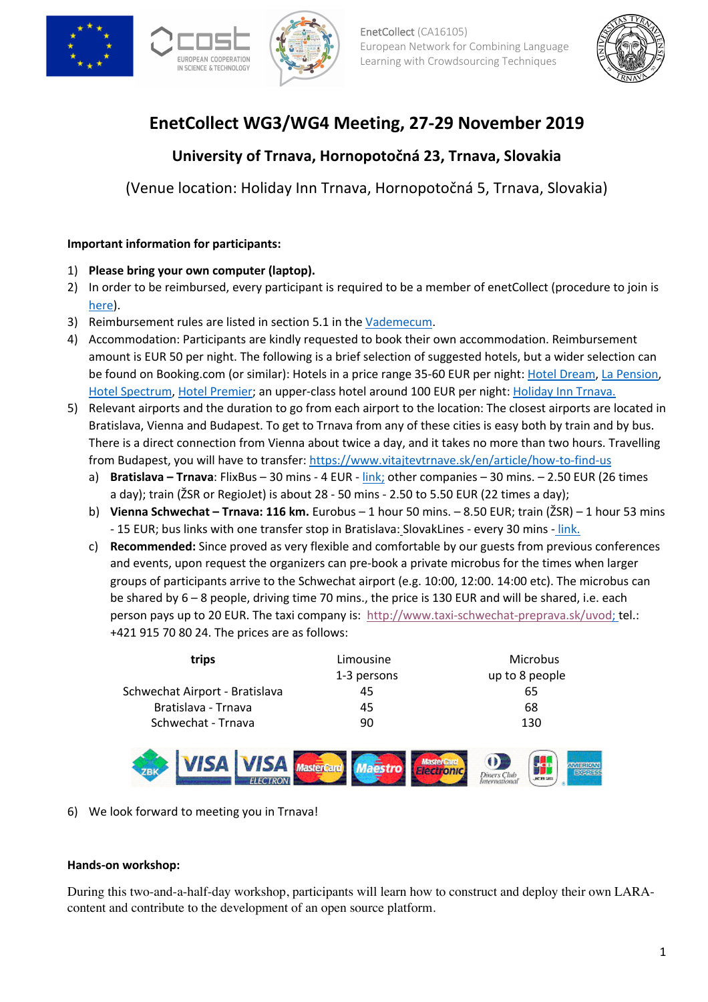







# **EnetCollect WG3/WG4 Meeting, 27-29 November 2019**

# **University of Trnava, Hornopotočná 23, Trnava, Slovakia**

(Venue location: Holiday Inn Trnava, Hornopotočná 5, Trnava, Slovakia)

# **Important information for participants:**

- 1) **Please bring your own computer (laptop).**
- 2) In order to be reimbursed, every participant is required to be a member of enetCollect (procedure to join is here).
- 3) Reimbursement rules are listed in section 5.1 in the Vademecum.
- 4) Accommodation: Participants are kindly requested to book their own accommodation. Reimbursement amount is EUR 50 per night. The following is a brief selection of suggested hotels, but a wider selection can be found on Booking.com (or similar): Hotels in a price range 35-60 EUR per night: Hotel Dream, La Pension, Hotel Spectrum, Hotel Premier; an upper-class hotel around 100 EUR per night: Holiday Inn Trnava.
- 5) Relevant airports and the duration to go from each airport to the location: The closest airports are located in Bratislava, Vienna and Budapest. To get to Trnava from any of these cities is easy both by train and by bus. There is a direct connection from Vienna about twice a day, and it takes no more than two hours. Travelling from Budapest, you will have to transfer: https://www.vitajtevtrnave.sk/en/article/how-to-find-us
	- a) **Bratislava – Trnava**: FlixBus 30 mins 4 EUR link; other companies 30 mins. 2.50 EUR (26 times a day); train (ŽSR or RegioJet) is about 28 - 50 mins - 2.50 to 5.50 EUR (22 times a day);
	- b) **Vienna Schwechat – Trnava: 116 km.** Eurobus 1 hour 50 mins. 8.50 EUR; train (ŽSR) 1 hour 53 mins - 15 EUR; bus links with one transfer stop in Bratislava: SlovakLines - every 30 mins - link.
	- c) **Recommended:** Since proved as very flexible and comfortable by our guests from previous conferences and events, upon request the organizers can pre-book a private microbus for the times when larger groups of participants arrive to the Schwechat airport (e.g. 10:00, 12:00. 14:00 etc). The microbus can be shared by 6 – 8 people, driving time 70 mins., the price is 130 EUR and will be shared, i.e. each person pays up to 20 EUR. The taxi company is: http://www.taxi-schwechat-preprava.sk/uvod; tel.: +421 915 70 80 24. The prices are as follows:

| trips                          | Limousine<br>1-3 persons | <b>Microbus</b><br>up to 8 people |
|--------------------------------|--------------------------|-----------------------------------|
| Schwechat Airport - Bratislava | 45                       | 65                                |
| Bratislava - Trnava            | 45                       | 68                                |
| Schwechat - Trnava             | 90                       | 130                               |



6) We look forward to meeting you in Trnava!

## **Hands-on workshop:**

During this two-and-a-half-day workshop, participants will learn how to construct and deploy their own LARAcontent and contribute to the development of an open source platform.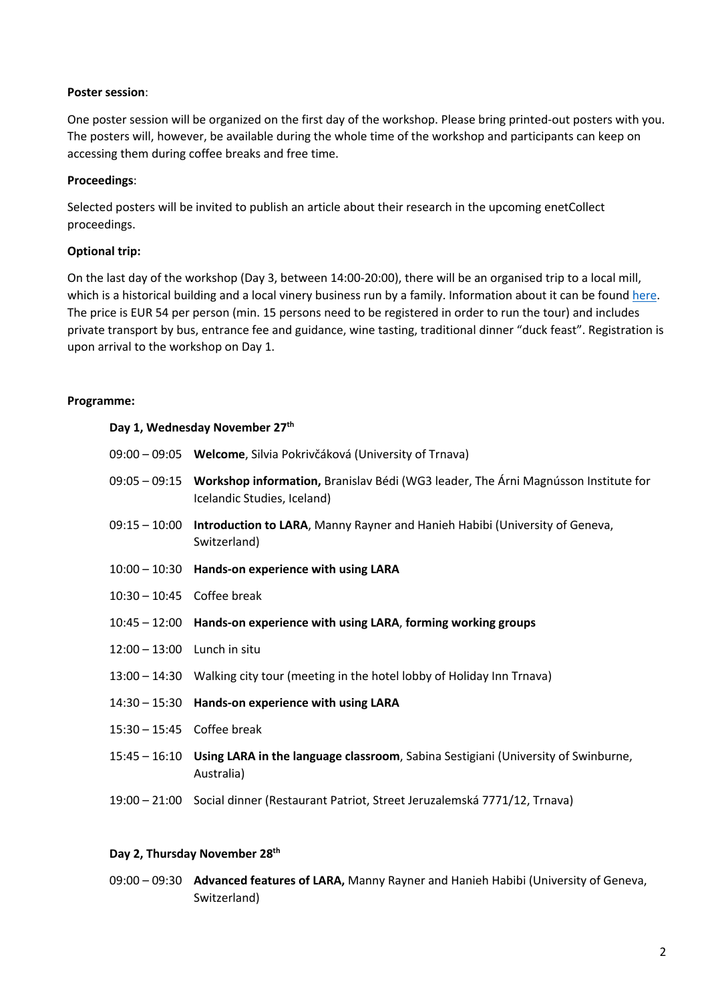#### **Poster session**:

One poster session will be organized on the first day of the workshop. Please bring printed-out posters with you. The posters will, however, be available during the whole time of the workshop and participants can keep on accessing them during coffee breaks and free time.

#### **Proceedings**:

Selected posters will be invited to publish an article about their research in the upcoming enetCollect proceedings.

#### **Optional trip:**

On the last day of the workshop (Day 3, between 14:00-20:00), there will be an organised trip to a local mill, which is a historical building and a local vinery business run by a family. Information about it can be found here. The price is EUR 54 per person (min. 15 persons need to be registered in order to run the tour) and includes private transport by bus, entrance fee and guidance, wine tasting, traditional dinner "duck feast". Registration is upon arrival to the workshop on Day 1.

#### **Programme:**

#### **Day 1, Wednesday November 27th**

|                             | 09:00 – 09:05 Welcome, Silvia Pokrivčáková (University of Trnava)                                                                      |
|-----------------------------|----------------------------------------------------------------------------------------------------------------------------------------|
|                             | 09:05 – 09:15 <b>Workshop information,</b> Branislav Bédi (WG3 leader, The Árni Magnússon Institute for<br>Icelandic Studies, Iceland) |
| 09:15 - 10:00               | Introduction to LARA, Manny Rayner and Hanieh Habibi (University of Geneva,<br>Switzerland)                                            |
|                             | 10:00 - 10:30 Hands-on experience with using LARA                                                                                      |
| 10:30 - 10:45 Coffee break  |                                                                                                                                        |
|                             | 10:45 - 12:00 Hands-on experience with using LARA, forming working groups                                                              |
| 12:00 - 13:00 Lunch in situ |                                                                                                                                        |
|                             | 13:00 - 14:30 Walking city tour (meeting in the hotel lobby of Holiday Inn Trnava)                                                     |
|                             | 14:30 - 15:30 Hands-on experience with using LARA                                                                                      |
| 15:30 - 15:45 Coffee break  |                                                                                                                                        |
|                             | 15:45 - 16:10 Using LARA in the language classroom, Sabina Sestigiani (University of Swinburne,<br>Australia)                          |
|                             | 19:00 - 21:00 Social dinner (Restaurant Patriot, Street Jeruzalemská 7771/12, Trnava)                                                  |

## **Day 2, Thursday November 28th**

09:00 – 09:30 **Advanced features of LARA,** Manny Rayner and Hanieh Habibi (University of Geneva, Switzerland)